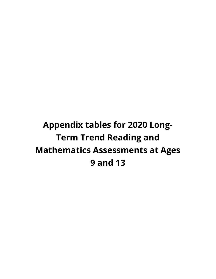**Appendix tables for 2020 Long-Term Trend Reading and Mathematics Assessments at Ages 9 and 13**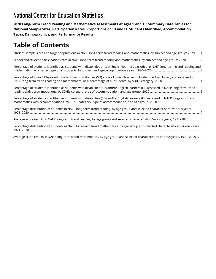**2020 Long-Term Trend Reading and Mathematics Assessments at Ages 9 and 13: Summary Data Tables for National Sample Sizes, Participation Rates, Proportions of SD and EL Students Identified, Accommodation Types, Demographics, and Performance Results** 

# **Table of Contents**

[Student sample sizes and target populations in NAEP long-term trend reading and mathematics, by subject and age group: 2020 .......1](#page-2-0)

[School and student participation rates in NAEP long-term trend reading and mathematics, by subject and age group: 2020 ..................2](#page-3-0)

[Percentage of students identified as students with disabilities and/or English learners excluded in NAEP long-term trend reading and](#page-4-0) [mathematics, as a percentage of all students, by subject and age group: Various years, 1990–2020 ............................................................3](#page-4-0)

[Percentage of 9- and 13-year-old students with disabilities \(SD\) and/or English learners \(EL\) identified, excluded, and assessed in](#page-5-0)  [NAEP long-term trend reading and mathematics, as a percentage of all students, by SD/EL category: 2020 ...............................................4](#page-5-0)

[Percentage of students identified as students with disabilities \(SD\) and/or English learners \(EL\) assessed in NAEP long-term trend](#page-6-0)  [reading with accommodations, by SD/EL category, type of accommodation, and age group: 2020 ...............................................................5](#page-6-0)

[Percentage of students identified as students with disabilities \(SD\) and/or English learners \(EL\) assessed in NAEP long-term trend](#page-7-0)  [mathematics with accommodations, by SD/EL category, type of accommodation, and age group: 2020 .....................................................6](#page-7-0)

[Percentage distribution of students in NAEP long-term trend reading, by age group and selected characteristics: Various years,](#page-8-0) [1971–2020 ...................................................................................................................................................................................................................7](#page-8-0)

[Average score results in NAEP long-term trend reading, by age group and selected characteristics: Various years, 1971–2020 ..............8](#page-9-0)

[Percentage distribution of students in NAEP long-term trend mathematics, by age group and selected characteristics: Various years,](#page-10-0)  [1971–2020 ...................................................................................................................................................................................................................9](#page-10-0)

[Average score results in NAEP long-term trend mathematics, by age group and selected characteristics: Various years, 1971–2020 ...10](#page-11-0)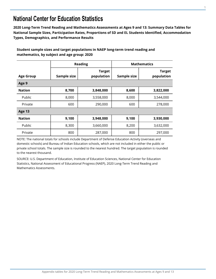<span id="page-2-0"></span>**2020 Long-Term Trend Reading and Mathematics Assessments at Ages 9 and 13: Summary Data Tables for National Sample Sizes, Participation Rates, Proportions of SD and EL Students Identified, Accommodation Types, Demographics, and Performance Results** 

| Student sample sizes and target populations in NAEP long-term trend reading and |
|---------------------------------------------------------------------------------|
| mathematics, by subject and age group: 2020                                     |

|                  |             | <b>Reading</b>              |             | <b>Mathematics</b>          |
|------------------|-------------|-----------------------------|-------------|-----------------------------|
| <b>Age Group</b> | Sample size | <b>Target</b><br>population | Sample size | <b>Target</b><br>population |
| Age 9            |             |                             |             |                             |
| <b>Nation</b>    | 8,700       | 3,848,000                   | 8,600       | 3,822,000                   |
| Public           | 8,000       | 3,558,000                   | 8,000       | 3,544,000                   |
| Private          | 600         | 290,000                     | 600         | 278,000                     |
| <b>Age 13</b>    |             |                             |             |                             |
| <b>Nation</b>    | 9,100       | 3,948,000                   | 9,100       | 3,930,000                   |
| Public           | 8,300       | 3,660,000                   | 8,200       | 3,632,000                   |
| Private          | 800         | 287,000                     | 800         | 297,000                     |

NOTE: The national totals for schools include Department of Defense Education Activity (overseas and domestic schools) and Bureau of Indian Education schools, which are not included in either the public or private school totals. The sample size is rounded to the nearest hundred. The target population is rounded to the nearest thousand.

SOURCE: U.S. Department of Education, Institute of Education Sciences, National Center for Education Statistics, National Assessment of Educational Progress (NAEP), 2020 Long-Term Trend Reading and Mathematics Assessments.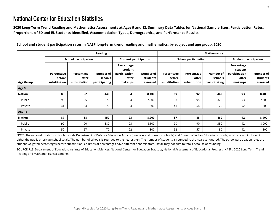**2020 Long-Term Trend Reading and Mathematics Assessments at Ages 9 and 13: Summary Data Tables for National Sample Sizes, Participation Rates, Proportions of SD and EL Students Identified, Accommodation Types, Demographics, and Performance Results** 

<span id="page-3-0"></span>

|                  |                                      |                                     | <b>Reading</b>                        |                                                            |                                   |                                      |                                     | <b>Mathematics</b>                    |                                                            |                                   |
|------------------|--------------------------------------|-------------------------------------|---------------------------------------|------------------------------------------------------------|-----------------------------------|--------------------------------------|-------------------------------------|---------------------------------------|------------------------------------------------------------|-----------------------------------|
|                  |                                      | <b>School participation</b>         |                                       |                                                            | <b>Student participation</b>      |                                      | <b>School participation</b>         |                                       | <b>Student participation</b>                               |                                   |
| <b>Age Group</b> | Percentage<br>before<br>substitution | Percentage<br>after<br>substitution | Number of<br>schools<br>participating | Percentage<br>student<br>participation<br>after<br>makeups | Number of<br>students<br>assessed | Percentage<br>before<br>substitution | Percentage<br>after<br>substitution | Number of<br>schools<br>participating | Percentage<br>student<br>participation<br>after<br>makeups | Number of<br>students<br>assessed |
| Age 9            |                                      |                                     |                                       |                                                            |                                   |                                      |                                     |                                       |                                                            |                                   |
| Nation           | 89                                   | 92                                  | 440                                   | 94                                                         | 8,400                             | 89                                   | 92                                  | 440                                   | 93                                                         | 8,400                             |
| Public           | 93                                   | 95                                  | 370                                   | 94                                                         | 7,800                             | 93                                   | 95                                  | 370                                   | 93                                                         | 7,800                             |
| Private          | 41                                   | 54                                  | 70                                    | 94                                                         | 600                               | 41                                   | 54                                  | 70                                    | 92                                                         | 600                               |
| Age 13           |                                      |                                     |                                       |                                                            |                                   |                                      |                                     |                                       |                                                            |                                   |
| <b>Nation</b>    | 87                                   | 88                                  | 450                                   | 93                                                         | 8,900                             | 87                                   | 88                                  | 460                                   | 92                                                         | 8,900                             |
| Public           | 90                                   | 90                                  | 380                                   | 93                                                         | 8,100                             | 90                                   | 90                                  | 380                                   | 92                                                         | 8,000                             |
| Private          | 52                                   | 57                                  | 70                                    | 92                                                         | 800                               | 52                                   | 57                                  | 80                                    | 92                                                         | 800                               |

NOTE: The national totals for schools include Department of Defense Education Activity (overseas and domestic schools) and Bureau of Indian Education schools, which are not included in either the public or private school totals. The number of schools is rounded to the nearest ten. The number of students is rounded to the nearest hundred. The school participation rates are student-weighted percentages before substitution. Columns of percentages have different denominators. Detail may not sum to totals because of rounding.

SOURCE: U.S. Department of Education, Institute of Education Sciences, National Center for Education Statistics, National Assessment of Educational Progress (NAEP), 2020 Long-Term Trend Reading and Mathematics Assessments.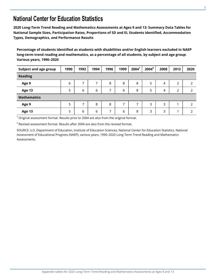<span id="page-4-0"></span>**2020 Long-Term Trend Reading and Mathematics Assessments at Ages 9 and 13: Summary Data Tables for National Sample Sizes, Participation Rates, Proportions of SD and EL Students Identified, Accommodation Types, Demographics, and Performance Results** 

**Percentage of students identified as students with disabilities and/or English learners excluded in NAEP long-term trend reading and mathematics, as a percentage of all students, by subject and age group: Various years, 1990–2020** 

| Subject and age group | 1990 | 1992 | 1994 | 1996 | 1999 | 2004 <sup>1</sup> | $2004^2$ | 2008           | 2012           | 2020          |
|-----------------------|------|------|------|------|------|-------------------|----------|----------------|----------------|---------------|
| <b>Reading</b>        |      |      |      |      |      |                   |          |                |                |               |
| Age 9                 | 6    | ⇁    |      | 8    | 8    | 8                 | 5        | 4              | 2              | $\mathcal{P}$ |
| Age 13                | 5    | 6    | 6    | ⇁    | 6    | 8                 | 5        | $\overline{4}$ | $\overline{2}$ | $\mathcal{P}$ |
| <b>Mathematics</b>    |      |      |      |      |      |                   |          |                |                |               |
| Age 9                 | 5    | ⇁    | 8    | 8    | ⇁    | ⇁                 | 3        | 3              | ◢              | $\mathcal{P}$ |
| <b>Age 13</b>         | 5    | 6    | 6    | ⇁    | 6    | 8                 | 3        | 3              | 4              | C             |

 $1$  Original assessment format. Results prior to 2004 are also from the original format.

 $2$  Revised assessment format. Results after 2004 are also from the revised format.

SOURCE: U.S. Department of Education, Institute of Education Sciences, National Center for Education Statistics, National Assessment of Educational Progress (NAEP), various years, 1990–2020 Long-Term Trend Reading and Mathematics Assessments.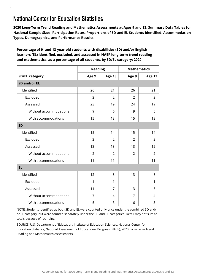<span id="page-5-0"></span>**2020 Long-Term Trend Reading and Mathematics Assessments at Ages 9 and 13: Summary Data Tables for National Sample Sizes, Participation Rates, Proportions of SD and EL Students Identified, Accommodation Types, Demographics, and Performance Results** 

**Percentage of 9- and 13-year-old students with disabilities (SD) and/or English learners (EL) identified, excluded, and assessed in NAEP long-term trend reading and mathematics, as a percentage of all students, by SD/EL category: 2020** 

|                        |                | <b>Reading</b> |                | <b>Mathematics</b> |
|------------------------|----------------|----------------|----------------|--------------------|
| <b>SD/EL category</b>  | Age 9          | Age 13         | Age 9          | <b>Age 13</b>      |
| SD and/or EL           |                |                |                |                    |
| Identified             | 26             | 21             | 26             | 21                 |
| Excluded               | $\overline{2}$ | $\overline{2}$ | $\overline{2}$ | 2                  |
| Assessed               | 23             | 19             | 24             | 19                 |
| Without accommodations | 9              | 6              | 9              | 6                  |
| With accommodations    | 15             | 13             | 15             | 13                 |
| <b>SD</b>              |                |                |                |                    |
| Identified             | 15             | 14             | 15             | 14                 |
| Excluded               | $\mathcal{P}$  | $\mathcal{P}$  | $\mathcal{P}$  | $\mathcal{P}$      |
| Assessed               | 13             | 13             | 13             | 12                 |
| Without accommodations | 2              | $\overline{2}$ | $\overline{2}$ | 2                  |
| With accommodations    | 11             | 11             | 11             | 11                 |
| <b>EL</b>              |                |                |                |                    |
| Identified             | 12             | 8              | 13             | 8                  |
| Excluded               | 1              | 1              | 1              | 1                  |
| Assessed               | 11             | $\overline{7}$ | 13             | 8                  |
| Without accommodations | 7              | 4              | 7              | 4                  |
| With accommodations    | 5              | 3              | 6              | 3                  |

NOTE: Students identified as both SD and EL were counted only once under the combined SD and/ or EL category, but were counted separately under the SD and EL categories. Detail may not sum to totals because of rounding.

SOURCE: U.S. Department of Education, Institute of Education Sciences, National Center for Education Statistics, National Assessment of Educational Progress (NAEP), 2020 Long-Term Trend Reading and Mathematics Assessments.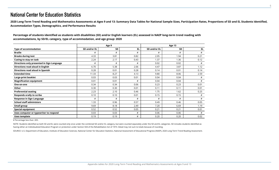**2020 Long-Term Trend Reading and Mathematics Assessments at Ages 9 and 13: Summary Data Tables for National Sample Sizes, Participation Rates, Proportions of SD and EL Students Identified, Accommodation Types, Demographics, and Performance Results** 

<span id="page-6-0"></span>

|                                            |              | Age 9     |           |              | <b>Age 13</b> |      |
|--------------------------------------------|--------------|-----------|-----------|--------------|---------------|------|
| <b>Type of accommodation</b>               | SD and/or EL | <b>SD</b> | <b>EL</b> | SD and/or EL | <b>SD</b>     | EL.  |
| <b>Braille</b>                             | #            | #         | #         | #            | #             | #    |
| <b>Breaks during test</b>                  | 4.33         | 3.81      | 0.82      | 2.05         | 1.94          | 0.21 |
| Cueing to stay on task                     | 2.24         | 2.17      | 0.43      | 1.37         | 1.36          | 0.12 |
| Directions only presented in Sign Language | #            | #         | #         | 0.02         | 0.02          | #    |
| Directions read aloud in English           | 6.70         | 5.38      | 2.06      | 4.47         | 3.87          | 1.12 |
| Directions read aloud in Spanish           | 0.28         | 0.01      | 0.28      | 0.14         | 0.01          | 0.14 |
| <b>Extended time</b>                       | 11.33        | 8.27      | 4.13      | 9.80         | 8.06          | 2.59 |
| Large-print booklet                        | 0.03         | 0.03      | 0.01      | 0.04         | 0.04          | #    |
| <b>Magnification equipment</b>             | 0.01         | 0.01      | #         | 0.04         | 0.04          | #    |
| One-on-one                                 | 0.34         | 0.34      | 0.06      | 0.23         | 0.23          | 0.01 |
| Other                                      | 0.30         | 0.30      | 0.01      | 0.11         | 0.11          | 0.01 |
| <b>Preferential seating</b>                | 2.23         | 2.10      | 0.46      | 1.75         | 1.62          | 0.25 |
| <b>Responds orally to scribe</b>           | 0.10         | 0.10      | 0.01      | 0.15         | 0.15          | #    |
| <b>Response in Sign Language</b>           | #            | #         | #         | #            | #             | #    |
| <b>School staff administers</b>            | 1.33         | 0.96      | 0.57      | 0.49         | 0.46          | 0.05 |
| Small group                                | 9.69         | 8.18      | 2.49      | 7.20         | 6.69          | 1.19 |
| <b>Special equipment</b>                   | 0.52         | 0.52      | 0.05      | 0.21         | 0.21          | 0.01 |
| Uses computer or typewriter to respond     | 0.03         | 0.03      | #         | 0.06         | 0.06          | #    |
| Uses template                              | 0.19         | 0.19      | $\#$      | 0.20         | 0.20          | 0.02 |

**Percentage of students identified as students with disabilities (SD) and/or English learners (EL) assessed in NAEP long-term trend reading with accommodations, by SD/EL category, type of accommodation, and age group: 2020** 

# Percentage less than .005.

NOTE: Students identified as both SD and EL were counted only once under the combined SD and/or EL category, but were counted separately under the SD and EL categories. SD includes students identified as having either an Individualized Education Program or protection under Section 504 of the Rehabilitation Act of 1973. Detail may not sum to totals because of rounding.

SOURCE: U.S. Department of Education, Institute of Education Sciences, National Center for Education Statistics, National Assessment of Educational Progress (NAEP), 2020 Long-Term Trend Reading Assessment.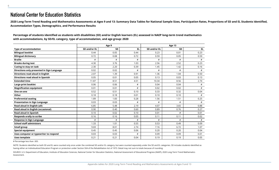**2020 Long-Term Trend Reading and Mathematics Assessments at Ages 9 and 13: Summary Data Tables for National Sample Sizes, Participation Rates, Proportions of SD and EL Students Identified, Accommodation Types, Demographics, and Performance Results** 

<span id="page-7-0"></span>

|                                            |              | Age 9     |      |              | Age 13    |      |
|--------------------------------------------|--------------|-----------|------|--------------|-----------|------|
| <b>Type of accommodation</b>               | SD and/or EL | <b>SD</b> | EL.  | SD and/or EL | <b>SD</b> | EL.  |
| <b>Bilingual booklet</b>                   | 0.44         | 0.05      | 0.44 | 0.23         | 0.01      | 0.23 |
| <b>Bilingual dictionary</b>                | 0.72         | 0.08      | 0.72 | 0.59         | 0.05      | 0.59 |
| <b>Braille</b>                             | #            | #         | #    | #            | #         | #    |
| <b>Breaks during test</b>                  | 4.30         | 3.76      | 1.03 | 2.56         | 2.52      | 0.23 |
| Cueing to stay on task                     | 2.30         | 2.20      | 0.39 | 1.45         | 1.42      | 0.16 |
| Directions only presented in Sign Language | 0.02         | 0.02      | #    | #            | #         | #    |
| Directions read aloud in English           | 2.07         | 1.39      | 0.91 | 1.36         | 1.04      | 0.50 |
| <b>Directions read aloud in Spanish</b>    | 0.05         | 0.01      | 0.05 | 0.13         | 0.03      | 0.13 |
| <b>Extended time</b>                       | 11.87        | 8.51      | 4.51 | 10.34        | 8.56      | 2.74 |
| Large-print booklet                        | 0.06         | 0.06      | #    | 0.04         | 0.04      | $\#$ |
| <b>Magnification equipment</b>             | 0.01         | 0.01      | #    | 0.02         | 0.02      | #    |
| One-on-one                                 | 0.52         | 0.51      | 0.10 | 0.33         | 0.32      | 0.04 |
| Other                                      | 0.18         | 0.18      | 0.01 | 0.10         | 0.10      | #    |
| <b>Preferential seating</b>                | 1.89         | 1.83      | 0.28 | 1.56         | 1.51      | 0.25 |
| <b>Presentation in Sign Language</b>       | 0.03         | 0.03      | #    | #            | #         | #    |
| Read aloud in English (all)                | 6.85         | 5.48      | 2.19 | 4.07         | 3.65      | 0.88 |
| Read aloud in English (occasional)         | 0.90         | 0.40      | 0.60 | 0.89         | 0.76      | 0.27 |
| <b>Read aloud in Spanish</b>               | 0.10         | 0.02      | 0.10 | 0.01         | #         | 0.01 |
| <b>Responds orally to scribe</b>           | 0.16         | 0.16      | 0.05 | 0.11         | 0.11      | 0.02 |
| <b>Response in Sign Language</b>           | #            | #         | #    | #            | #         | #    |
| <b>School staff administers</b>            | 1.33         | 1.01      | 0.55 | 0.53         | 0.49      | 0.09 |
| <b>Small group</b>                         | 9.69         | 8.01      | 2.74 | 7.16         | 6.72      | 1.07 |
| <b>Special equipment</b>                   | 0.45         | 0.45      | 0.06 | 0.20         | 0.20      | 0.04 |
| Uses computer or typewriter to respond     | 0.03         | 0.03      | #    | 0.09         | 0.09      | 0.01 |
| Uses template                              | 0.21         | 0.21      | 0.04 | 0.19         | 0.19      | 0.05 |

**Percentage of students identified as students with disabilities (SD) and/or English learners (EL) assessed in NAEP long-term trend mathematics with accommodations, by SD/EL category, type of accommodation, and age group: 2020** 

# Percentage less than .005.

NOTE: Students identified as both SD and EL were counted only once under the combined SD and/or EL category, but were counted separately under the SD and EL categories. SD includes students identified as having either an Individualized Education Program or protection under Section 504 of the Rehabilitation Act of 1973. Detail may not sum to totals because of rounding.

SOURCE: U.S. Department of Education, Institute of Education Sciences, National Center for Education Statistics, National Assessment of Educational Progress (NAEP), 2020 Long-Term Trend Mathematics Assessment.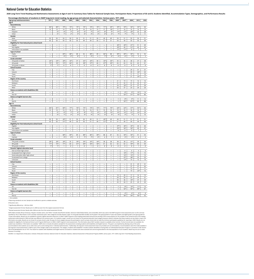<span id="page-8-0"></span>2020 Long-Term Trend Reading and Mathematics Assessments at Ages 9 and 13: Summary Data Tables for National Sample Sizes, Participation Rates, Proportions of SD and EL Students Identified, Accommodation Types, Demographics

**Percentage distribution of students in NAEP long-term trend reading, by age group and selected characteristics: Various years, 1971–2020** 

| Age group andcharacteristics                                   | 1971                                   | 1975                                                | 1980                           | 1984                                          | 1988                                   | 1990                                   | 1992                                          | 1994                                   | 1996                                          | 1999                                        | 2004 <sup>1</sup>                             | $2004^2$                 | 2008           | 2012           | 2020            |
|----------------------------------------------------------------|----------------------------------------|-----------------------------------------------------|--------------------------------|-----------------------------------------------|----------------------------------------|----------------------------------------|-----------------------------------------------|----------------------------------------|-----------------------------------------------|---------------------------------------------|-----------------------------------------------|--------------------------|----------------|----------------|-----------------|
| Age 9                                                          |                                        |                                                     |                                |                                               |                                        |                                        |                                               |                                        |                                               |                                             |                                               |                          |                |                |                 |
| Race/ethnicity                                                 |                                        |                                                     |                                |                                               |                                        |                                        |                                               |                                        |                                               |                                             |                                               |                          |                |                |                 |
| White                                                          | $84*$                                  | $80*$                                               | 79*                            | $75*$                                         | $75*$                                  | $74*$                                  | $74*$                                         | $76*$                                  | $71*$                                         | 69*                                         | $59*$                                         | 59*                      | $56*$          | $53*$          | 46              |
| Black                                                          | 14                                     | 13                                                  | 14                             | 16                                            | 16                                     | 16                                     | 16                                            | 15                                     | 17                                            | $18*$                                       | 17                                            | 16                       | 16             | 14             | 15              |
| Hispanic                                                       |                                        | $5*$<br>$2*$                                        | $6*$<br>$1*$                   | $7*$<br>$2*$                                  | $6*$<br>$3*$                           | $6*$<br>$4*$                           | $7*$<br>$3*$                                  | $6*$<br>$4*$                           | $8*$<br>$4*$                                  | 9*<br>$4*$                                  | $17*$<br>$7*$                                 | $17*$<br>$7*$            | $20*$<br>$7*$  | 25             | 28              |
| Other<br>Gender                                                | $\qquad \qquad -$                      |                                                     |                                |                                               |                                        |                                        |                                               |                                        |                                               |                                             |                                               |                          |                | 9              | 11              |
| Male                                                           | 50                                     | 50                                                  | 50                             | 50                                            | 50                                     | 51                                     | 51                                            | 50                                     | 49                                            | 49                                          | 50                                            | 51                       | 50             | 50             | 51              |
| Female                                                         | 50                                     | 50                                                  | 50                             | 50                                            | 50                                     | 49                                     | 49                                            | 50                                     | 51                                            | 51                                          | 50                                            | 49                       | 50             | 50             | 49              |
| Eligibility for free/reduced-price school lunch                |                                        |                                                     |                                |                                               |                                        |                                        |                                               |                                        |                                               |                                             |                                               |                          |                |                |                 |
| Eligible                                                       | $\qquad \qquad -$                      |                                                     |                                | $\qquad \qquad -$                             |                                        | $\qquad \qquad -$                      |                                               | $\qquad \qquad -$                      | $\overline{\phantom{0}}$                      | $\qquad \qquad -$                           | $40*$                                         | $40*$                    | $41*$          | 51             | 49              |
| Not eligible                                                   |                                        | $\qquad \qquad -$                                   |                                | $\overline{\phantom{0}}$                      | $\qquad \qquad$                        |                                        |                                               | $\qquad \qquad -$                      | $\overline{\phantom{0}}$                      | $\qquad \qquad -$                           | $50*$                                         | 49                       | $51*$          | 42             | 45              |
| Information not available                                      |                                        | $\qquad \qquad -$                                   | $\qquad \qquad$                | $\overline{\phantom{0}}$                      | $\qquad \qquad$                        |                                        | $\overline{\phantom{0}}$                      | $\qquad \qquad -$                      | $\overline{\phantom{0}}$                      | $\overline{\phantom{0}}$                    | $11*$                                         | $11*$                    | 8              | $\overline{7}$ | $6\overline{6}$ |
| <b>Type of school</b>                                          |                                        |                                                     |                                |                                               |                                        |                                        |                                               |                                        |                                               |                                             |                                               |                          |                |                |                 |
| Public                                                         |                                        | $\qquad \qquad -$                                   | 89*                            | $88\text{\texttt{*}}$                         | 88                                     | 92                                     | $88*$                                         | 89                                     | 86*                                           | 88                                          | $89*$                                         | 89*                      | $90*$          | 92             | 92              |
| Catholic                                                       | $\qquad \qquad -$                      | $\overline{\phantom{0}}$                            | $9*$                           | $9*$                                          | $8*$                                   | 5                                      | $9*$                                          | 6                                      | $7*$                                          | $6*$                                        | $6*$                                          | $6*$                     | $5*$           | $\mathbf{3}$   | $\mathbf{3}$    |
| <b>Grade attended</b>                                          |                                        |                                                     |                                |                                               |                                        |                                        |                                               |                                        |                                               |                                             |                                               |                          |                |                |                 |
| 3rd grade or below                                             | $24*$<br>$75*$                         | $23*$<br>$76*$                                      | $28*$<br>$72*$                 | $34*$<br>66*                                  | 37<br>63                               | $42*$<br>$58*$                         | $43*$<br>$57*$                                | 40<br>60                               | $33*$<br>$67*$                                | $30*$<br>69*                                | 35<br>65                                      | 36<br>63                 | 38<br>62       | 37<br>63       | 38<br>61        |
| 4th grade<br>5th grade or above                                | $1*$                                   | $1*$                                                | $\#$                           | #                                             | $\mathbf{1}$                           | $\#$                                   | $\#$                                          | $\#$                                   | $\#$                                          | $\#$                                        | #                                             | $\#$                     | #              | $\#$           | #               |
| <b>School location</b>                                         |                                        |                                                     |                                |                                               |                                        |                                        |                                               |                                        |                                               |                                             |                                               |                          |                |                |                 |
| City                                                           | $\qquad \qquad -$                      |                                                     | $\overline{\phantom{m}}$       | $\qquad \qquad -$                             | $\qquad \qquad -$                      | $\qquad \qquad -$                      | $\qquad \qquad -$                             | $\qquad \qquad -$                      | $\overline{\phantom{0}}$                      | $\qquad \qquad -$                           | —                                             | $\overline{\phantom{m}}$ | 29             | 31             | 31              |
| Suburb                                                         | $\overline{\phantom{0}}$               |                                                     | $\overline{\phantom{0}}$       | $\equiv$                                      |                                        |                                        |                                               | $\qquad \qquad -$                      | $\equiv$                                      | $\overline{\phantom{0}}$                    | $\overline{\phantom{0}}$                      | $\overline{\phantom{0}}$ | 39             | $34*$          | 43              |
| Town                                                           |                                        | —                                                   | —                              | $\qquad \qquad -$                             | $\qquad \qquad -$                      |                                        | —                                             | $\qquad \qquad -$                      |                                               | $\overline{\phantom{0}}$                    | —                                             | $\overline{\phantom{m}}$ | 11             | 11             | 10              |
| Rural                                                          | $\qquad \qquad -$                      | $\qquad \qquad -$                                   | $\qquad \qquad -$              | $\qquad \qquad -$                             | $\qquad \qquad -$                      | $\qquad \qquad -$                      | $\qquad \qquad -$                             | $\qquad \qquad -$                      | $\qquad \qquad -$                             |                                             | —                                             | $\qquad \qquad -$        | 21             | $24*$          | 17              |
| <b>Region of the country</b>                                   |                                        |                                                     |                                |                                               |                                        |                                        |                                               |                                        |                                               |                                             |                                               |                          |                |                |                 |
| Northeast                                                      | $\qquad \qquad -$                      | $\qquad \qquad -$                                   |                                | $\qquad \qquad -$                             |                                        |                                        | $\qquad \qquad -$                             | $\qquad \qquad -$                      | $\overline{\phantom{0}}$                      | $\qquad \qquad -$                           | 21                                            | 19                       | 19             | 16             | 16              |
| Midwest                                                        |                                        | $\qquad \qquad -$                                   | $\overline{\phantom{0}}$       | —                                             | —                                      |                                        |                                               | $\qquad \qquad$                        | —                                             | $\qquad \qquad -$                           | 21                                            | 22                       | 21             | 22             | 21              |
| South                                                          | $\qquad \qquad -$                      | $\qquad \qquad -$                                   | $\overline{\phantom{m}}$       | $\qquad \qquad -$                             | $\qquad \qquad -$                      | $\overline{\phantom{m}}$               | $\overline{\phantom{m}}$                      | $\overline{\phantom{m}}$               |                                               | $\overline{\phantom{m}}$                    | 33                                            | $32*$                    | 37             | 37             | 39              |
| West                                                           | $\qquad \qquad$                        | $\equiv$                                            | $\equiv$                       | $\overline{\phantom{0}}$                      |                                        | $\qquad \qquad$                        | $\equiv$                                      | $\equiv$                               | $\overline{\phantom{0}}$                      | $\equiv$                                    | 26                                            | 27                       | 23             | 24             | 24              |
| Status as students with disabilities (SD)                      |                                        |                                                     |                                |                                               |                                        |                                        |                                               |                                        |                                               |                                             |                                               | $8*$                     | $9*$           |                |                 |
| SD<br>Not SD                                                   | $\qquad \qquad -$<br>$\qquad \qquad -$ | $\qquad \qquad \longleftarrow$<br>$\qquad \qquad -$ | —<br>$\qquad \qquad -$         | $\overline{\phantom{m}}$<br>$\qquad \qquad -$ | $\qquad \qquad -$<br>$\qquad \qquad -$ | $\qquad \qquad -$                      | $\overline{\phantom{0}}$<br>$\qquad \qquad -$ | $\qquad \qquad -$<br>$\qquad \qquad -$ | —                                             | $\overline{\phantom{0}}$<br>$\qquad \qquad$ | $\ddagger$<br>$\ddagger$                      | $92*$                    | $91*$          | $10*$<br>$90*$ | 14<br>86        |
| <b>Status as English learners (EL)</b>                         |                                        |                                                     |                                |                                               |                                        |                                        |                                               |                                        |                                               |                                             |                                               |                          |                |                |                 |
| EL                                                             | $\qquad \qquad -$                      | —                                                   |                                |                                               |                                        | $\qquad \qquad -$                      | $\overline{\phantom{0}}$                      |                                        | $\qquad \qquad$                               |                                             | $\ddagger$                                    | $8*$                     | 9*             | 11             | 12              |
| Not EL                                                         | $\equiv$                               | $\overline{\phantom{0}}$                            |                                |                                               |                                        | $\overline{\phantom{0}}$               | $\equiv$                                      | —                                      |                                               |                                             | $\ddagger$                                    | $92*$                    | $91*$          | 89             | 88              |
| Age 13                                                         |                                        |                                                     |                                |                                               |                                        |                                        |                                               |                                        |                                               |                                             |                                               |                          |                |                |                 |
| Race/ethnicity                                                 |                                        |                                                     |                                |                                               |                                        |                                        |                                               |                                        |                                               |                                             |                                               |                          |                |                |                 |
| White                                                          | $84*$                                  | $81*$                                               | $80*$                          | $77*$                                         | $76*$                                  | $73*$                                  | $73*$                                         | $74*$                                  | $71*$                                         | $70*$                                       | $64*$                                         | $63*$                    | $57*$          | $55*$          | 46              |
| Black                                                          | 15                                     | 13                                                  | 13                             | 14                                            | 15                                     | 15                                     | 16                                            | 15                                     | 15                                            | 16                                          | 15                                            | 16                       | 16             | 14             | 14              |
| Hispanic                                                       | $\overline{\phantom{0}}$               | $5*$                                                | $6*$                           | $7*$                                          | $6*$                                   | $8*$                                   | $7^{\star}$                                   | $8*$                                   | $9*$                                          | $10*$                                       | $16*$                                         | $16*$                    | $21*$          | $22*$          | 29              |
| Other                                                          | $\equiv$                               | $2*$                                                | $1^*$                          | $2*$                                          | $2*$                                   | $3*$                                   | $3*$                                          | $3*$                                   | $5*$                                          | $3*$                                        | $5*$                                          | $5*$                     | $7*$           | 9              | 10              |
| Gender                                                         |                                        |                                                     |                                |                                               |                                        |                                        |                                               |                                        |                                               |                                             |                                               |                          |                |                |                 |
| Male                                                           | 50<br>50                               | 50<br>50                                            | 49*<br>$51*$                   | 51<br>49                                      | 50<br>50                               | 50<br>50                               | 49<br>51                                      | 51<br>49                               | 49*<br>$51*$                                  | 49<br>51                                    | 49<br>51                                      | 51<br>49                 | 51<br>49       | 51<br>49       | 51<br>49        |
| Female<br>Eligibility for free/reduced-price school lunch      |                                        |                                                     |                                |                                               |                                        |                                        |                                               |                                        |                                               |                                             |                                               |                          |                |                |                 |
| Eligible                                                       | $\qquad \qquad -$                      | $\qquad \qquad$                                     | $\qquad \qquad$                | $\overline{\phantom{0}}$                      | —                                      |                                        | $\qquad \qquad$                               | $\qquad \qquad -$                      | $\overline{\phantom{0}}$                      | $\overline{\phantom{0}}$                    | $37*$                                         | $36*$                    | $35*$          | 44             | 46              |
| Not eligible                                                   | $\qquad \qquad \longleftarrow$         | $\qquad \qquad -$                                   | $\overline{\phantom{0}}$       | $\qquad \qquad -$                             | $\qquad \qquad -$                      | $\qquad \qquad -$                      | $\qquad \qquad -$                             | $\overline{\phantom{m}}$               | —                                             |                                             | $55*$                                         | $56*$                    | $56*$          | 49             | 47              |
| Information not available                                      | $\overline{\phantom{0}}$               | $\qquad \qquad -$                                   | $\qquad \qquad$                | $\qquad \qquad -$                             | $\qquad \qquad$                        | $\qquad \qquad -$                      |                                               | $\qquad \qquad -$                      | $\overline{\phantom{0}}$                      | $\qquad \qquad$                             | 8                                             | 9                        | $\overline{9}$ | $\overline{7}$ | $\overline{7}$  |
| Type of school                                                 |                                        |                                                     |                                |                                               |                                        |                                        |                                               |                                        |                                               |                                             |                                               |                          |                |                |                 |
| Public                                                         | $\overline{\phantom{0}}$               |                                                     | $88*$                          | $89*$                                         | 89                                     | 88*                                    | $86*$                                         | 89*                                    | 88                                            | 87                                          | 92                                            | $90*$                    | $90*$          | 91             | 93              |
| Catholic                                                       | $\qquad \qquad -$                      | $\overline{\phantom{0}}$                            | $9*$                           | $9*$                                          | 9                                      | $7*$                                   | $7*$                                          | $9*$                                   | 6                                             | $\overline{7}$                              | 5                                             | $5*$                     | $5*$           | $\overline{4}$ | $\mathsf{3}$    |
| <b>Grade attended</b>                                          |                                        |                                                     |                                |                                               |                                        |                                        |                                               |                                        |                                               |                                             |                                               |                          |                |                |                 |
| 7th grade or below                                             | $28*$                                  | $28*$                                               | $28*$                          | 35                                            | $39*$                                  | $39*$                                  | $43*$                                         | $44*$                                  | 38                                            | 38                                          | 38                                            | 38                       | $41*$          | 39             | 36              |
| 8th grade                                                      | $71*$                                  | $72*$                                               | $71*$                          | 64                                            | $61*$                                  | $60*$                                  | $56*$                                         | $56*$                                  | 61                                            | 62                                          | 62                                            | 62                       | 59*            | 60             | 64              |
| 9th grade or ablove                                            | $1*$                                   | $1*$                                                | $\mathbf{1}$                   | $\#$                                          | $\mathbf{1}$                           | $\#$                                   | $\mathbf{1}$                                  | #                                      | $\#$                                          | $\#$                                        | #                                             | $\#$                     | #              | $\overline{1}$ | #               |
| Parents' highest education level<br>Did not finish high school |                                        |                                                     | $\qquad \qquad$                | $\overline{\phantom{m}}$                      |                                        | $\qquad \qquad -$                      |                                               | $\qquad \qquad -$                      | $\overline{\phantom{0}}$                      |                                             |                                               | 6                        | 6              | 6              | 6               |
| Graduated from high school                                     | $\qquad \qquad -$<br>$\qquad \qquad -$ | $\qquad \qquad -$<br>$\qquad \qquad -$              | $\qquad \qquad$                | $\qquad \qquad -$                             | $\qquad \qquad$                        | $\qquad \qquad -$                      | $\overline{\phantom{0}}$<br>$\qquad \qquad -$ | $\qquad \qquad -$                      | $\qquad \qquad$                               | $\qquad \qquad -$<br>—                      | $\qquad \qquad -$<br>$\overline{\phantom{0}}$ | $18*$                    | $17*$          | 14             | 15              |
| Some education after high school                               |                                        | $\qquad \qquad -$                                   | $\overline{\phantom{0}}$       |                                               | $\overline{\phantom{0}}$               |                                        | $\qquad \qquad =$                             | $\overline{\phantom{m}}$               | $\equiv$                                      |                                             | $\qquad \qquad$                               | $16*$                    | $15*$          | 13             | 13              |
| Graduated from college                                         | $\qquad \qquad -$                      | $\qquad \qquad -$                                   | $\overline{\phantom{m}}$       | $\qquad \qquad -$                             | $\qquad \qquad -$                      | $\overline{\phantom{m}}$               | $\overline{\phantom{0}}$                      | $\overline{\phantom{m}}$               | —                                             | $\qquad \qquad -$                           | $\overline{\phantom{m}}$                      | $47*$                    | $48*$          | 53             | 53              |
| Unknown                                                        | $\equiv$                               | $\qquad \qquad -$                                   | $\overline{\phantom{0}}$       |                                               |                                        | $\qquad \qquad -$                      | $\overline{\phantom{0}}$                      | $\overline{\phantom{m}}$               |                                               | $\equiv$                                    | $\overline{\phantom{0}}$                      | $13*$                    | 14             | 13             | 14              |
| <b>School location</b>                                         |                                        |                                                     |                                |                                               |                                        |                                        |                                               |                                        |                                               |                                             |                                               |                          |                |                |                 |
| City                                                           | $\qquad \qquad -$                      | $\qquad \qquad -$                                   | $\overline{\phantom{m}}$       | $\qquad \qquad -$                             |                                        | $\overline{\phantom{m}}$               | $\qquad \qquad -$                             | $\overline{\phantom{m}}$               | $\qquad \qquad -$                             | $\qquad \qquad -$                           |                                               | $\overline{\phantom{m}}$ | 31             | 29             | 31              |
| Suburb                                                         | $\qquad \qquad -$                      | $\overline{\phantom{m}}$                            | $\overline{\phantom{m}}$       | $\qquad \qquad -$                             | $\qquad \qquad -$                      | $\overline{\phantom{m}}$               | —                                             | $\overline{\phantom{m}}$               | —                                             | $\qquad \qquad -$                           | $\qquad \qquad -$                             | $\overline{\phantom{m}}$ | 37             | 37             | 42              |
| Town                                                           | $\qquad \qquad -$                      | $\qquad \qquad -$                                   | $\qquad \qquad -$              | $\qquad \qquad -$                             | $\qquad \qquad -$                      | $\qquad \qquad -$                      | $\qquad \qquad -$                             | $\qquad \qquad -$                      | $\qquad \qquad -$                             | $\qquad \qquad -$                           | $\qquad \qquad -$                             | $\overline{\phantom{m}}$ | 13             | 11             | 11              |
| Rural                                                          | $\qquad \qquad$                        | $\overline{\phantom{0}}$                            | $\overline{\phantom{0}}$       | $\overline{\phantom{0}}$                      | —                                      | $\overline{\phantom{0}}$               | $\overline{\phantom{0}}$                      | $\qquad \qquad -$                      |                                               | $\equiv$                                    | $\overline{\phantom{0}}$                      |                          | 19             | $23*$          | 16              |
| <b>Region of the country</b>                                   |                                        |                                                     |                                |                                               |                                        |                                        |                                               |                                        |                                               |                                             |                                               |                          |                |                |                 |
| Northeast                                                      | $\qquad \qquad -$                      | $\qquad \qquad -$                                   | $\qquad \qquad -$              | $\qquad \qquad \qquad$                        |                                        | $\overline{\phantom{m}}$               | $\qquad \qquad -$                             | $\qquad \qquad -$                      | —                                             | $\overline{\phantom{m}}$                    | 19                                            | 20                       | 17             | 16             | 15              |
| Midwest                                                        | $\overline{\phantom{0}}$               | —                                                   | $\qquad \qquad \longleftarrow$ | $\qquad \qquad \longleftarrow$                | —                                      | $\qquad \qquad \longleftarrow$         | $\overline{\phantom{0}}$                      |                                        | —                                             | $\overline{\phantom{0}}$                    | $20\,$<br>35                                  | $20\,$<br>36             | 23<br>$35*$    | 24<br>37       | 21              |
| South<br>West                                                  | $\qquad \qquad -$                      | $\overline{\phantom{0}}$<br>$\qquad \qquad -$       | $\qquad \qquad$                | $\qquad \qquad -$<br>—                        | $=$                                    | $\qquad \qquad -$<br>$\qquad \qquad -$ | $\overline{\phantom{0}}$                      | $\qquad \qquad -$<br>$\qquad \qquad -$ | $\qquad \qquad -$<br>$\overline{\phantom{0}}$ | $\qquad \qquad -$<br>$\qquad \qquad -$      | 25                                            | 24                       | 25             | 23             | 39<br>25        |
| Status as students with disabilities (SD)                      |                                        |                                                     |                                |                                               |                                        |                                        |                                               |                                        |                                               |                                             |                                               |                          |                |                |                 |
| SD                                                             | $\qquad \qquad -$                      | $\qquad \qquad -$                                   | $\overline{\phantom{m}}$       | $\overline{\phantom{m}}$                      | $\qquad \qquad -$                      | $\qquad \qquad -$                      | $\overline{\phantom{m}}$                      | $\overline{\phantom{m}}$               | $\qquad \qquad -$                             | $\qquad \qquad -$                           | $\ddagger$                                    | $8*$                     | $10*$          | $11*$          | 13              |
| Not SD                                                         | $\equiv$                               | $\overline{\phantom{0}}$                            | $\equiv$                       | $=$                                           | —                                      | $\overline{\phantom{0}}$               | $\overline{\phantom{0}}$                      | $\qquad \qquad -$                      | —                                             | $\equiv$                                    | $\ddagger$                                    | $92*$                    | $90*$          | 89*            | 87              |
| <b>Status as English learners (EL)</b>                         |                                        |                                                     |                                |                                               |                                        |                                        |                                               |                                        |                                               |                                             |                                               |                          |                |                |                 |
| EL.                                                            | $\qquad \qquad -$                      | $\qquad \qquad -$                                   | $\overline{\phantom{m}}$       | $\qquad \qquad -$                             |                                        | $\overline{\phantom{m}}$               | $\qquad \qquad -$                             | $\qquad \qquad -$                      |                                               | $\qquad \qquad -$                           | $\ddagger$                                    | $4^{\star}$              | $6*$           | $4*$           | 8               |
| Not EL                                                         | $\qquad \qquad -$                      | $\overline{\phantom{0}}$                            | $\qquad \qquad$                | $\equiv$                                      | $\equiv$                               |                                        | $\overline{\phantom{0}}$                      | $\qquad \qquad -$                      |                                               | $\equiv$                                    | $\ddagger$                                    | $96*$                    | $94*$          | $96*$          | 92              |

NOTE: Black includes African American, Hispanic includes Latino, and "Other" includes Asian/Pacific Islander, American Indian/Alaska Native, and unclassified, which was used in the NAEP long-term trend assessment prior to classified as Two or More Races in 2012 and later assessment years. Race categories exclude Hispanic origin. For the grade attended variable, fourth grade is the typical grade for 9-year-old students and eighth grade is th 13-year-old students. Results are not available for parents' highest education level prior to 2004 in NAEP long-term trend reading assessments because the wording of the survey question for this variable in the revised for assessments administered in 2004 and later was different from previous years. For students at age 9, results are not shown for the parental education level category because research indicates that these students are less l information accurately. Results are not shown for private schools under the type of school category because the participation rate for private schools did not meet the minimum participation guidelines for reporting in 2020 available for eligibility for the National School Lunch Program (NSLP) prior to 2004 in NAEP long-term trend assessments. The information about NSLP variable is based on available school records. If school records were not student was classified as "Information not available." NAEP aims to include all students sampled for the assessments including students with disabilities and English learners. This goal is accomplished by allowing many of accommodations that students use on other tests such as extra testing time or individual administration. Traditionally, the long-term trend assessments have not provided such accommodations. Accommodations were first made the long-term trend assessments in 2004 as part of the changes made to the assessment. The category "students with disabilities" includes students identified as having either an Individualized Education Program or protecti 504 of the Rehabilitation Act of 1973. The results for students with disabilities and English learners are based on students who were assessed and cannot be generalized to the total population of such students. Detail may because of rounding.

SOURCE: U.S. Department of Education, Institute of Education Sciences, National Center for Education Statistics, National Assessment of Educational Progress (NAEP), various years, 1971-2020 Long-Term Trend Reading Assessme

— Not available.

‡ Reporting standards not met. Sample size insufficient to permit a reliable estimate.

# Rounds to zero.

\* Significantly different (*p* < .05) from 2020.

 $1$  Original assessment format. Results prior to 2004 are also from the original assessment format.

 $2$  Revised assessment format. Results after 2004 are also from the revised assessment format.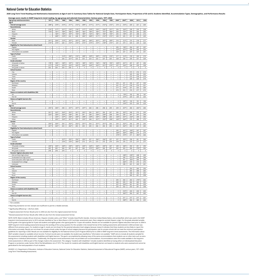<span id="page-9-0"></span>2020 Long-Term Trend Reading and Mathematics Assessments at Ages 9 and 13: Summary Data Tables for National Sample Sizes, Participation Rates, Proportions of SD and EL Students Identified, Accommodation Types, Demographics

**Average score results in NAEP long-term trend reading, by age group and selected characteristics: Various years, 1971–2020** 

| Age group andcharacteristics                       | 1971                                   | 1975                     | 1980                                                       | 1984                          | 1988                                                 | 1990                                   | 1992                                   | 1994                                                 | 1996                          | 1999                                                 | 2004 <sup>1</sup>                      | $2004^2$          | 2008          | 2012       | 2020       |
|----------------------------------------------------|----------------------------------------|--------------------------|------------------------------------------------------------|-------------------------------|------------------------------------------------------|----------------------------------------|----------------------------------------|------------------------------------------------------|-------------------------------|------------------------------------------------------|----------------------------------------|-------------------|---------------|------------|------------|
| Age 9                                              |                                        |                          |                                                            |                               |                                                      |                                        |                                        |                                                      |                               |                                                      |                                        |                   |               |            |            |
| <b>Overall average score</b>                       | 208*                                   | $210*$                   | $215*$                                                     | $211*$                        | $212*$                                               | 209*                                   | $211*$                                 | $211*$                                               | $212*$                        | $212*$                                               | 219                                    | $216*$            | 220           | 221        | 220        |
| Race/ethnicity                                     |                                        |                          |                                                            |                               |                                                      |                                        |                                        |                                                      |                               |                                                      |                                        |                   |               |            |            |
| White<br>Black                                     | $214*$<br>170*                         | $217*$<br>$181*$         | $221*$<br>189*                                             | 218*<br>186*                  | $218*$<br>189*                                       | $217*$<br>182*                         | 218*<br>185*                           | $218*$<br>185*                                       | 220*<br>191*                  | $221*$<br>186*                                       | 226<br>200                             | 224*<br>197*      | 228<br>204    | 229<br>206 | 228<br>205 |
| Hispanic                                           | $\overline{\phantom{m}}$               | 183*                     | 190*                                                       | 187*                          | $194*$                                               | 189*                                   | 192*                                   | 186*                                                 | 195*                          | 193*                                                 | 205                                    | 199*              | 207           | 208        | 210        |
| Other                                              | $\qquad \qquad -$                      | 208*                     | $218*$                                                     | 222                           | 228                                                  | 206*                                   | 208*                                   | $211*$                                               | $214*$                        | $215*$                                               | 230                                    | 225               | 231           | 230        | 229        |
| Gender                                             |                                        |                          |                                                            |                               |                                                      |                                        |                                        |                                                      |                               |                                                      |                                        |                   |               |            |            |
| Male                                               | $201*$                                 | 204*                     | $210*$                                                     | 207*                          | $207*$                                               | $204*$                                 | 206*                                   | 207*                                                 | 207*                          | 209*                                                 | 216                                    | $212*$            | 216           | 218        | 217        |
| Female                                             | $214*$                                 | $216*$                   | 220                                                        | $214*$                        | $216*$                                               | $215*$                                 | $215*$                                 | $215*$                                               | $218*$                        | $215*$                                               | 221                                    | 219               | 224           | 223        | 222        |
| Eligibility for free/reduced-price school lunch    |                                        |                          |                                                            |                               |                                                      |                                        |                                        |                                                      |                               |                                                      |                                        |                   |               |            |            |
| Eligible                                           | $\qquad \qquad -$                      | —                        |                                                            | —                             | $\overline{\phantom{m}}$                             | $\qquad \qquad -$                      | $\qquad \qquad -$                      |                                                      | $\qquad \qquad -$             | $\overline{\phantom{m}}$                             | 205                                    | 199*              | 204           | 207        | 207        |
| Not eligible                                       | $\qquad \qquad -$                      | $\qquad \qquad -$        |                                                            | —                             | $\overline{\phantom{m}}$                             | $\qquad \qquad -$                      | $\qquad \qquad -$                      |                                                      | $\overline{\phantom{0}}$      | $\qquad \qquad -$                                    | $227*$                                 | $227*$            | 230           | 235        | 232        |
| Information not available<br><b>Type of school</b> | —                                      | $\overline{\phantom{0}}$ | $\overline{\phantom{0}}$                                   | $\overline{\phantom{0}}$      |                                                      | $\overline{\phantom{0}}$               | $\overline{\phantom{0}}$               | —                                                    |                               | $\qquad \qquad$                                      | 229                                    | 227               | 237           | 237        | 231        |
| Public                                             | $\qquad \qquad -$                      | —                        | $214*$                                                     | 209*                          | $210*$                                               | 208*                                   | 209*                                   | 209*                                                 | $210*$                        | $210*$                                               | 217                                    | $214*$            | 218           | 220        | 219        |
| Catholic                                           | $\overline{\phantom{0}}$               |                          | 226                                                        | $221*$                        | 223                                                  | 225                                    | 223                                    | 223                                                  | 227                           | 225                                                  | 228                                    | 230               | 235           | 231        | 229        |
| <b>Grade attended</b>                              |                                        |                          |                                                            |                               |                                                      |                                        |                                        |                                                      |                               |                                                      |                                        |                   |               |            |            |
| 3rd grade or below                                 | $178*$                                 | 183*                     | 189*                                                       | $187*$                        | 193*                                                 | 189*                                   | 192*                                   | 194*                                                 | 196*                          | 195*                                                 | $203*$                                 | $201*$            | 207           | 207        | 206        |
| 4th grade                                          | $217*$                                 | $218*$                   | $225*$                                                     | $223*$                        | $223*$                                               | 224*                                   | 224*                                   | $222*$                                               | $221*$                        | $219*$                                               | 227                                    | 224*              | 228           | 229        | 228        |
| 5th grade or above                                 | 232                                    | 226                      | 243                                                        | 254                           | $\ddagger$                                           | $\ddagger$                             | $\ddagger$                             | $\ddagger$                                           | $\ddagger$                    | $\ddagger$                                           | $\ddagger$                             | $\ddagger$        | $\ddagger$    | $\ddagger$ | $\ddagger$ |
| <b>School location</b>                             |                                        |                          |                                                            |                               |                                                      |                                        |                                        |                                                      |                               |                                                      |                                        |                   |               |            |            |
| City                                               | $\overline{\phantom{m}}$               | $\qquad \qquad -$        | $\qquad \qquad \longleftarrow$                             | —                             | $\overline{\phantom{m}}$                             | $\qquad \qquad -$                      | $\qquad \qquad -$                      | $\overline{\phantom{m}}$                             | —                             | $\overline{\phantom{m}}$                             | $\qquad \qquad -$                      | $\qquad \qquad -$ | 215           | 216        | 213        |
| Suburb<br>Town                                     | $\qquad \qquad -$                      | $\qquad \qquad -$<br>—   |                                                            | —<br>—                        | $\overline{\phantom{m}}$<br>$\overline{\phantom{m}}$ | $\qquad \qquad -$<br>$\qquad \qquad -$ | $\qquad \qquad =$<br>$\qquad \qquad -$ | —                                                    | —<br>—                        | $\overline{\phantom{m}}$<br>$\overline{\phantom{m}}$ | $\qquad \qquad -$<br>$\qquad \qquad -$ |                   | 225<br>215    | 226<br>218 | 225<br>219 |
| Rural                                              | $\overline{\phantom{0}}$               |                          |                                                            |                               |                                                      | —                                      | —                                      |                                                      |                               |                                                      | $\overline{\phantom{0}}$               |                   | 220           | 220        | 219        |
| <b>Region of the country</b>                       |                                        |                          |                                                            |                               |                                                      |                                        |                                        |                                                      |                               |                                                      |                                        |                   |               |            |            |
| Northeast                                          | $\overline{\phantom{m}}$               | $\qquad \qquad -$        |                                                            | —                             | $\overline{\phantom{m}}$                             | $\qquad \qquad -$                      | $\qquad \qquad$                        |                                                      | —                             | $\overline{\phantom{m}}$                             | 223                                    | 221               | 226           | 227        | 226        |
| Midwest                                            |                                        | $\qquad \qquad -$        | —                                                          | —                             | $\overline{\phantom{m}}$                             | $\qquad \qquad -$                      | $\qquad \qquad =$                      | —                                                    | —                             | $\qquad \qquad -$                                    | 221                                    | 217               | 218           | 219        | 221        |
| South                                              | $\qquad \qquad -$                      | $\qquad \qquad -$        | $\qquad \qquad -$                                          | —                             | $\overline{\phantom{m}}$                             | $\qquad \qquad -$                      | $\qquad \qquad -$                      | $\qquad \qquad -$                                    | —                             | $\overline{\phantom{m}}$                             | 217                                    | $214*$            | 221           | 222        | 220        |
| West                                               | $\overline{\phantom{0}}$               | $\overline{\phantom{0}}$ |                                                            | —                             | $\hspace{0.1mm}-\hspace{0.1mm}$                      | $\qquad \qquad -$                      | $\qquad \qquad =$                      | $\qquad \qquad$                                      | —                             | $\overline{\phantom{m}}$                             | 215                                    | 212               | 216           | 217        | 215        |
| Status as students with disabilities (SD)          |                                        |                          |                                                            |                               |                                                      |                                        |                                        |                                                      |                               |                                                      |                                        |                   |               |            |            |
| SD                                                 | $\qquad \qquad -$                      | $\qquad \qquad$          | $\qquad \qquad -$                                          |                               |                                                      | $\qquad \qquad -$                      | —                                      | $\qquad \qquad -$                                    | $\overline{\phantom{0}}$      |                                                      | $\ddagger$                             | 178*<br>$219*$    | 182           | 183        | 187        |
| Not SD<br><b>Status as English learners (EL)</b>   | —                                      | —                        | —                                                          |                               |                                                      | $\overline{\phantom{0}}$               | $\overline{\phantom{0}}$               | —                                                    |                               |                                                      | $\ddagger$                             |                   | 224           | 225        | 225        |
| EL                                                 | $\qquad \qquad -$                      | —                        | $\qquad \qquad -$                                          | —                             | $\overline{\phantom{m}}$                             | $\qquad \qquad -$                      | —                                      | $\qquad \qquad -$                                    | —                             | $\overline{\phantom{m}}$                             | $\ddagger$                             | 187*              | 193           | 191        | 193        |
| Not EL                                             | $\overline{\phantom{0}}$               |                          |                                                            |                               |                                                      | $\overline{\phantom{0}}$               |                                        |                                                      |                               |                                                      | $\ddagger$                             | $218*$            | 223           | 225        | 223        |
| Age 13                                             |                                        |                          |                                                            |                               |                                                      |                                        |                                        |                                                      |                               |                                                      |                                        |                   |               |            |            |
| <b>Overall average score</b>                       | 255*                                   | 256*                     | 258                                                        | $257*$                        | $257*$                                               | $257*$                                 | 260                                    | 258                                                  | 258                           | 259                                                  | 259                                    | $257*$            | 260           | $263*$     | 260        |
| Race/ethnicity                                     |                                        |                          |                                                            |                               |                                                      |                                        |                                        |                                                      |                               |                                                      |                                        |                   |               |            |            |
| White                                              | $261*$                                 | 262*                     | 264*                                                       | 263*                          | $261*$                                               | $262*$                                 | 266                                    | 265*                                                 | 266                           | 267                                                  | 266                                    | 265*              | 268           | 270        | 269        |
| <b>Black</b>                                       | 222*                                   | 226*                     | $233*$<br>$237*$                                           | 236*                          | 243                                                  | 241                                    | 238                                    | $234*$                                               | $234*$                        | 238                                                  | 244                                    | 239               | 247           | 247        | 244        |
| Hispanic<br>Other                                  | $\qquad \qquad -$<br>$\qquad \qquad -$ | 232*<br>256*             | 254*                                                       | 240*<br>$261*$                | 240*<br>269                                          | 238*<br>253*                           | 239*<br>268                            | 235*<br>$257*$                                       | 238*<br>$253*$                | 244<br>258*                                          | $242*$<br>265*                         | $241*$<br>264*    | $242*$<br>270 | 249<br>280 | 250<br>273 |
| Gender                                             |                                        |                          |                                                            |                               |                                                      |                                        |                                        |                                                      |                               |                                                      |                                        |                   |               |            |            |
| Male                                               | 250*                                   | 250*                     | 254                                                        | 253*                          | 252*                                                 | $251*$                                 | 254                                    | $251*$                                               | $251*$                        | 254                                                  | 254                                    | 252*              | 256           | 259        | 255        |
| Female                                             | $261*$                                 | 262*                     | 263                                                        | 262*                          | 263                                                  | 263                                    | 265                                    | 266                                                  | 264                           | 265                                                  | 264                                    | 262*              | 264           | 267        | 265        |
| Eligibility for free/reduced-price school lunch    |                                        |                          |                                                            |                               |                                                      |                                        |                                        |                                                      |                               |                                                      |                                        |                   |               |            |            |
| Eligible                                           |                                        | $\overline{\phantom{0}}$ | $\overline{\phantom{m}}$                                   | $\overline{\phantom{0}}$      | $\overline{\phantom{m}}$                             | $\qquad \qquad -$                      | $\overline{\phantom{0}}$               | $\overline{\phantom{m}}$                             | $\overline{\phantom{0}}$      | $\overline{\phantom{m}}$                             | 245                                    | $241*$            | 244*          | 247        | 247        |
| Not eligible                                       | —                                      | $\overline{\phantom{0}}$ | —                                                          | —                             |                                                      | —                                      | $\overline{\phantom{0}}$               | —                                                    | $\overline{\phantom{0}}$      | $\overline{\phantom{m}}$                             | 266*                                   | 264*              | 268*          | 274        | 273        |
| Information not available                          | $\overline{\phantom{0}}$               | $\overline{\phantom{0}}$ | —                                                          | —                             | $\overline{\phantom{m}}$                             | $\qquad \qquad -$                      | $\overline{\phantom{0}}$               | $\overline{\phantom{0}}$                             |                               |                                                      | $273*$                                 | $274*$            | 271           | 282*       | 264        |
| <b>Type of school</b>                              |                                        |                          | $257*$                                                     |                               |                                                      | 255*                                   |                                        |                                                      |                               |                                                      |                                        |                   |               | 261        |            |
| Public<br>Catholic                                 | $\overline{\phantom{0}}$               | —<br>—                   | 270*                                                       | 255*<br>270*                  | 256*<br>266*                                         | 273                                    | 257<br>275                             | 256*<br>273                                          | 256*<br>275                   | 257<br>279                                           | 257<br>278                             | 255*<br>276       | 258<br>275    | 277        | 260<br>277 |
| <b>Grade attended</b>                              |                                        |                          |                                                            |                               |                                                      |                                        |                                        |                                                      |                               |                                                      |                                        |                   |               |            |            |
| 7th grade or below                                 | 230*                                   | 232*                     | $240*$                                                     | 239*                          | $243*$                                               | 243*                                   | 243*                                   | $244*$                                               | 245*                          | 247                                                  | 249                                    | 246*              | 250           | 251        | 250        |
| 8th grade                                          | 265                                    | 265                      | 266                                                        | 267                           | 267                                                  | 266                                    | $272*$                                 | 269*                                                 | 266                           | 267                                                  | 265                                    | 263               | 266           | 270*       | 266        |
| 9th grade or ablove                                | 278                                    | 278                      | 274                                                        | $\ddagger$                    | $\ddagger$                                           | $\ddagger$                             | $\ddagger$                             | $\ddagger$                                           | $\ddagger$                    | $\ddagger$                                           | $\ddagger$                             | $\ddagger$        | $\ddagger$    | $\ddagger$ | $\ddagger$ |
| <b>Parents' highest education level</b>            |                                        |                          |                                                            |                               |                                                      |                                        |                                        |                                                      |                               |                                                      |                                        |                   |               |            |            |
| Did not finish high school                         | $\overline{\phantom{m}}$               | —                        | $\overline{\phantom{m}}$                                   | —                             | $\hspace{0.05cm}$                                    | $\qquad \qquad -$                      | $\overline{\phantom{0}}$               | $\qquad \qquad -$                                    | —                             | $\hspace{0.05cm}$                                    |                                        | 238*              | 239*          | 248        | 249        |
| Graduated from high school                         | $\overline{\phantom{0}}$               | $\overline{\phantom{0}}$ | $\overline{\phantom{0}}$                                   | $\overline{\phantom{0}}$      |                                                      | $\overline{\phantom{0}}$               | $\qquad \qquad =$                      | $\overline{\phantom{0}}$                             | $\overline{\phantom{0}}$      |                                                      | $\qquad \qquad -$                      | 249               | $251*$        | 248        | 246        |
| Some education after high school                   | $\qquad \qquad -$                      | $\qquad \qquad -$        | —                                                          | —                             | $\overline{\phantom{m}}$                             |                                        | $\qquad \qquad =$                      | —                                                    | —                             | $\overline{\phantom{m}}$                             | $\qquad \qquad -$                      | 261<br>266*       | 265*<br>270   | 264<br>273 | 260<br>272 |
| Graduated from college<br>Unknown                  | $\qquad \qquad -$<br>—                 | $\qquad \qquad -$<br>—   | $\qquad \qquad \longleftarrow$<br>$\overline{\phantom{0}}$ | —<br>$\overline{\phantom{0}}$ | $\overline{\phantom{m}}$                             | $\qquad \qquad -$<br>$-$               | $\overline{\phantom{0}}$<br>$=$        | $\overline{\phantom{m}}$<br>$\overline{\phantom{0}}$ | —<br>$\overline{\phantom{0}}$ | $\overline{\phantom{m}}$                             | $\overline{\phantom{0}}$<br>$-$        | 238               | 241           | 243        | 241        |
| <b>School location</b>                             |                                        |                          |                                                            |                               |                                                      |                                        |                                        |                                                      |                               |                                                      |                                        |                   |               |            |            |
| City                                               | $\qquad \qquad -$                      | —                        | $\equiv$                                                   | $\overline{\phantom{0}}$      |                                                      | $\qquad \qquad -$                      | —                                      | $\equiv$                                             | $\overline{\phantom{0}}$      |                                                      | $\qquad \qquad -$                      | $\qquad \qquad$   | 254           | 260        | 256        |
| Suburb                                             | $\qquad \qquad -$                      | $\qquad \qquad -$        | $\overline{\phantom{m}}$                                   | —                             | $\overline{\phantom{m}}$                             | $\qquad \qquad -$                      |                                        | $\overline{\phantom{m}}$                             | —                             | $\overline{\phantom{m}}$                             | $\qquad \qquad -$                      |                   | 265           | 268        | 265        |
| Town                                               | $\qquad \qquad -$                      | $\qquad \qquad -$        | $\qquad \qquad \longleftarrow$                             | —                             | $\hspace{0.1mm}-\hspace{0.1mm}$                      | $\qquad \qquad -$                      | $\qquad \qquad$                        |                                                      | —                             | $\hspace{0.1mm}-\hspace{0.1mm}$                      | $\qquad \qquad -$                      | $\qquad \qquad =$ | 258           | 256        | 255        |
| Rural                                              |                                        |                          |                                                            |                               |                                                      | $\overline{\phantom{0}}$               | $\overline{\phantom{0}}$               | —                                                    |                               |                                                      |                                        | $\qquad \qquad$   | 260           | 261        | 258        |
| Region of the country                              |                                        |                          |                                                            |                               |                                                      |                                        |                                        |                                                      |                               |                                                      |                                        |                   |               |            |            |
| Northeast                                          | $\qquad \qquad -$                      | $\qquad \qquad -$        | $\overline{\phantom{m}}$                                   | —                             | $\hspace{0.1mm}-\hspace{0.1mm}$                      | $\overline{\phantom{0}}$               | $\qquad \qquad$                        | $\qquad \qquad -$                                    | —                             | $\overline{\phantom{m}}$                             | 265                                    | 264               | 264           | $270*$     | 262        |
| Midwest                                            | $\qquad \qquad -$                      | —                        |                                                            | —                             | $\hspace{0.05cm}$                                    | $\qquad \qquad -$                      | $\overline{\phantom{0}}$               | $\overbrace{\phantom{1232211}}$                      | —                             | $\equiv$                                             | 260                                    | 259               | 262           | 263        | 263        |
| South                                              | $\qquad \qquad -$                      |                          |                                                            | —                             |                                                      | $\overline{\phantom{0}}$               | $\overline{\phantom{0}}$               | $\overline{\phantom{0}}$                             | —                             | $\qquad \qquad -$                                    | 257                                    | 254*              | 261           | 261        | 259        |
| West<br>Status as students with disabilities (SD)  | —                                      | —                        |                                                            | $\overline{\phantom{0}}$      |                                                      | —                                      | $=$                                    | —                                                    | —                             | $\hspace{0.05cm}$                                    | 255                                    | 252               | 253           | 261        | 258        |
| SD                                                 | $\qquad \qquad -$                      | $\qquad \qquad -$        |                                                            | —                             | $\overline{\phantom{m}}$                             | $\qquad \qquad -$                      | $\qquad \qquad =$                      | $\qquad \qquad -$                                    | —                             | $\hspace{0.05cm}$                                    | $\ddagger$                             | $216*$            | 224           | 224        | 225        |
| Not SD                                             | $\overline{\phantom{0}}$               | —                        | $\overline{\phantom{0}}$                                   |                               |                                                      |                                        | $\overline{\phantom{0}}$               | $\overline{\phantom{0}}$                             |                               |                                                      | $\ddagger$                             | 260*              | 264           | 267        | 265        |
| <b>Status as English learners (EL)</b>             |                                        |                          |                                                            |                               |                                                      |                                        |                                        |                                                      |                               |                                                      |                                        |                   |               |            |            |
| EL                                                 | $\qquad \qquad -$                      | $\qquad \qquad -$        | $\qquad \qquad \longleftarrow$                             | —                             | $\overline{\phantom{m}}$                             | $\qquad \qquad -$                      | $\qquad \qquad -$                      | $\overline{\phantom{m}}$                             | —                             | $\qquad \qquad -$                                    | $\ddagger$                             | 217               | 217           | 217        | 221        |
| Not EL                                             | —                                      | $\overline{\phantom{0}}$ | $\equiv$                                                   | —                             | $\overline{\phantom{m}}$                             | —                                      | $=$                                    | —                                                    | —                             |                                                      | $\ddagger$                             | 258*              | 262           | 265        | 263        |

NOTE: NOTE: Black includes African American, Hispanic includes Latino, and "Other" includes Asian/Pacific Islander, American Indian/Alaska Native, and unclassified, which was used in the NAEP long-term trend assessment prior to 2012 and was classified as Two or More Races in 2012 and later assessment years. Race categories exclude Hispanic origin. For the grade attended variable, fourth grade is the typical grade for 9-year-old students and eighth grade is the typical grade for 13-year-old students. Results are not available for parents' highest education level prior to 2004 in NAEP long-term trend reading assessments because the wording of the survey question for this variable in the revised format of the reading assessments administered in 2004 and later was different from previous years. For students at age 9, results are not shown for the parental education level category because research indicates that these students are less likely to report this information accurately. Results are not shown for private schools under the type of school category because the participation rate for private schools did not meet the minimum participation guidelines for reporting in 2020. Results are not available for eligibility for the National School Lunch Program (NSLP) prior to 2004 in NAEP long-term trend assessments. The information about NSLP variable is based on available school records. If school records were not available, the student was classified as "Information not available." NAEP aims to include all students sampled for the assessments including students with disabilities and English learners. This goal is accomplished by allowing many of the same accommodations that students use on other tests such as extra testing time or individual administration. Traditionally, the long-term trend assessments have not provided such accommodations. Accommodations were first made available in the long-term trend assessments in 2004 as part of the changes made to the assessment. The category "students with disabilities" includes students identified as having either an Individualized Education Program or protection under Section 504 of the Rehabilitation Act of 1973. The results for students with disabilities and English learners are based on students who were assessed and cannot be generalized to the total population of such students.

— Not available.

‡ Reporting standards not met. Sample size insufficient to permit a reliable estimate.

\* Significantly different (*p* < .05) from 2020.

 $1$  Original assessment format. Results prior to 2004 are also from the original assessment format.

 $<sup>2</sup>$  Revised assessment format. Results after 2004 are also from the revised assessment format.</sup>

SOURCE: U.S. Department of Education, Institute of Education Sciences, National Center for Education Statistics, National Assessment of Educational Progress (NAEP), various years, 1971–2020 Long-Term Trend Reading Assessments.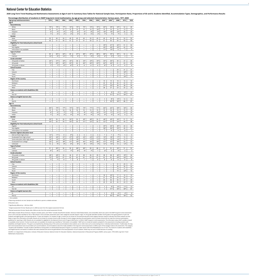<span id="page-10-0"></span>2020 Long-Term Trend Reading and Mathematics Assessments at Ages 9 and 13: Summary Data Tables for National Sample Sizes, Participation Rates, Proportions of SD and EL Students Identified, Accommodation Types, Demographics

| Age group andcharacteristics                    | ິ<br>1978                | 1982                     | 1986                     | 1990                     | - ب<br>ັ<br>1992               | 1994                     | 1996                             | 1999                     | 2004 <sup>1</sup>        | $2004^2$                 | 2008  | 2012           | 2020            |
|-------------------------------------------------|--------------------------|--------------------------|--------------------------|--------------------------|--------------------------------|--------------------------|----------------------------------|--------------------------|--------------------------|--------------------------|-------|----------------|-----------------|
| Age 9                                           |                          |                          |                          |                          |                                |                          |                                  |                          |                          |                          |       |                |                 |
| Race/ethnicity                                  |                          |                          |                          |                          |                                |                          |                                  |                          |                          |                          |       |                |                 |
|                                                 | 79*                      | 79*                      | $77*$                    | $74*$                    | $75*$                          | $75*$                    | $72*$                            | $70*$                    | $60*$                    | 59*                      | $54*$ | 52             |                 |
| White                                           |                          |                          |                          |                          |                                |                          |                                  |                          |                          |                          |       |                | 46              |
| Black                                           | 14                       | 14                       | 15                       | 16                       | 16                             | 15                       | 16                               | $18*$                    | 15                       | 16                       | 16    | 13             | 15              |
| Hispanic                                        | $5*$                     | $5*$                     | $6*$                     | $5^{\star}$              | $6*$                           | $6*$                     | $8*$                             | $8*$                     | $18*$                    | $18*$                    | $23*$ | 26             | 29              |
| Other                                           | $1*$                     | $2*$                     | $2*$                     | $4*$                     | $3*$                           | $4*$                     | $5*$                             | $4*$                     | $7*$                     | $7^{\star}$              | $7*$  | 9              | 10              |
| Gender                                          |                          |                          |                          |                          |                                |                          |                                  |                          |                          |                          |       |                |                 |
| Male                                            | 50                       | 49                       | 50                       | 49                       | 49                             | 49                       | 50                               | 49                       | 49                       | 50                       | 50    | 50             | 50              |
| Female                                          | 50                       | 51                       | 50                       | 51                       | 51                             | 51                       | 50                               | 51                       | 51                       | 50                       | 50    | 50             | 50              |
| Eligibility for free/reduced-price school lunch |                          |                          |                          |                          |                                |                          |                                  |                          |                          |                          |       |                |                 |
| Eligible                                        | $\overline{\phantom{m}}$ | $\qquad \qquad -$        | $\qquad \qquad -$        | $\qquad \qquad -$        | $\qquad \qquad -$              | $\qquad \qquad -$        | $\overbrace{\phantom{12322111}}$ | $\qquad \qquad -$        | $39*$                    | $41*$                    | $42*$ | 51             | 50              |
| Not eligible                                    | $\qquad \qquad -$        | $\overline{\phantom{m}}$ | $\qquad \qquad -$        | $\overline{\phantom{m}}$ | $\qquad \qquad -$              | $\qquad \qquad -$        | $\overline{\phantom{m}}$         | $\qquad \qquad -$        | $49*$                    | 49*                      | $50*$ | 42             | 44              |
| Information not available                       | $\qquad \qquad -$        | $\overline{\phantom{m}}$ | $\qquad \qquad -$        | $\overline{\phantom{m}}$ | $\qquad \qquad -$              | $\qquad \qquad -$        | $\overline{\phantom{m}}$         | $\qquad \qquad -$        | $11*$                    | $10*$                    | 8     | $\overline{7}$ | 6               |
| Type of school                                  |                          |                          |                          |                          |                                |                          |                                  |                          |                          |                          |       |                |                 |
| Public                                          | 89                       | $86*$                    | $84*$                    | 89                       | $87*$                          | 88*                      | $87*$                            | $88*$                    | $88\text{\texttt{*}}$    | $90*$                    | $90*$ | 92             | 93              |
| Catholic                                        | $10*$                    | $9*$                     | $12*$                    | $7*$                     | $9*$                           | $7*$                     | $9*$                             | $8*$                     | $6*$                     | $5*$                     | $5*$  | 3              | $\mathsf{3}$    |
| <b>Grade attended</b>                           |                          |                          |                          |                          |                                |                          |                                  |                          |                          |                          |       |                |                 |
| 3rd grade or below                              | $26*$                    | $31*$                    | $34*$                    | $35*$                    | 38                             | $33*$                    | $33*$                            | $35*$                    | $35*$                    | $36*$                    | 39    | 37             | 40              |
|                                                 | $73*$                    | 69*                      | 66*                      | $65*$                    | 62                             | 66*                      | 66*                              | $65*$                    | $64*$                    | $64*$                    | 61    | 63             |                 |
| 4th grade                                       |                          |                          |                          |                          |                                |                          |                                  |                          |                          |                          |       |                | 60              |
| 5th grade or above                              | $1*$                     | $1*$                     | $#*$                     | $#*$                     | $\#$                           | $\#$                     | $\#$                             | $\#$                     | $#*$                     | $\#$                     | $\#$  | $\#$           | $\#$            |
| <b>School location</b>                          |                          |                          |                          |                          |                                |                          |                                  |                          |                          |                          |       |                |                 |
| City                                            | $\overline{\phantom{m}}$ | $\qquad \qquad -$        | $\overline{\phantom{0}}$ | $\overline{\phantom{0}}$ | $\overline{\phantom{0}}$       | $\overline{\phantom{0}}$ | $\overline{\phantom{0}}$         | $\overline{\phantom{m}}$ | $\overline{\phantom{0}}$ | $\qquad \qquad -$        | 29    | 31             | 31              |
| Suburb                                          | $\overline{\phantom{0}}$ | $\qquad \qquad -$        | $\qquad \qquad -$        | $\overline{\phantom{0}}$ | $\overline{\phantom{0}}$       | $\overline{\phantom{0}}$ | $\overline{\phantom{0}}$         | $\overline{\phantom{0}}$ | $\overline{\phantom{0}}$ | $\qquad \qquad -$        | 39    | $34*$          | 43              |
| Town                                            | $\qquad \qquad -$        | $\overline{\phantom{m}}$ | $\qquad \qquad -$        | $\overline{\phantom{0}}$ | $\qquad \qquad -$              | $\qquad \qquad -$        | $\overline{\phantom{0}}$         | $\qquad \qquad -$        | $\overline{\phantom{0}}$ | $\qquad \qquad -$        | 11    | 12             | $10\,$          |
| Rural                                           | $\overline{\phantom{m}}$ | $\qquad \qquad -$        | $\qquad \qquad -$        |                          |                                | $\qquad \qquad -$        |                                  |                          |                          | $\overline{\phantom{m}}$ | 21    | $24*$          | 17              |
| <b>Region of the country</b>                    |                          |                          |                          |                          |                                |                          |                                  |                          |                          |                          |       |                |                 |
| Northeast                                       | $\overline{\phantom{m}}$ | $\qquad \qquad -$        | $\qquad \qquad -$        | $\qquad \qquad -$        | $\qquad \qquad -$              | $\qquad \qquad -$        | $\overbrace{\phantom{12322111}}$ | $\qquad \qquad -$        | 19                       | 19                       | 18    | 16             | 16              |
| Midwest                                         | $\overline{\phantom{m}}$ | $\overline{\phantom{m}}$ | $\qquad \qquad -$        | $\overline{\phantom{m}}$ | $\qquad \qquad -$              | $\qquad \qquad -$        | $\qquad \qquad -$                | $\qquad \qquad -$        | 22                       | 22                       | 20    | 22             | 21              |
| South                                           | $\qquad \qquad -$        | $\qquad \qquad -$        | $\qquad \qquad -$        | $\qquad \qquad -$        | $\qquad \qquad -$              | $\qquad \qquad -$        | $\qquad \qquad -$                | $\qquad \qquad -$        | $31*$                    | $32*$                    | 38    | 38             | 39              |
| West                                            | $\qquad \qquad -$        | $\qquad \qquad -$        | $\qquad \qquad -$        | $\qquad \qquad -$        | $\qquad \qquad -$              | $\overline{\phantom{m}}$ | $\overline{\phantom{m}}$         | $\qquad \qquad -$        | 28                       | 27                       | 23    | 25             | 24              |
| Status as students with disabilities (SD)       |                          |                          |                          |                          |                                |                          |                                  |                          |                          |                          |       |                |                 |
| SD                                              | $\qquad \qquad -$        | $\overline{\phantom{m}}$ | $\qquad \qquad -$        | $\overline{\phantom{m}}$ | $\qquad \qquad -$              | $\qquad \qquad -$        | $\overline{\phantom{m}}$         | $\qquad \qquad -$        | $\ddagger$               | $9*$                     | $9*$  | $10*$          | 13              |
| Not SD                                          | $\qquad \qquad -$        | $\qquad \qquad -$        | $\qquad \qquad -$        | $\qquad \qquad -$        | $\qquad \qquad -$              | $\overline{\phantom{m}}$ | $\overline{\phantom{m}}$         | $\overline{\phantom{m}}$ | $\ddagger$               | $91*$                    | $91*$ | $90*$          | 87              |
| <b>Status as English learners (EL)</b>          |                          |                          |                          |                          |                                |                          |                                  |                          |                          |                          |       |                |                 |
| EL.                                             |                          |                          |                          |                          |                                |                          |                                  |                          | $\ddagger$               | $8*$                     | $10*$ |                |                 |
|                                                 | $\qquad \qquad -$        | $\qquad \qquad -$        | $\qquad \qquad -$        | $\overline{\phantom{m}}$ | $\qquad \qquad -$              | $\qquad \qquad -$        | $\qquad \qquad -$                | $\qquad \qquad -$        | $\ddagger$               |                          |       | 12             | 13              |
| Not EL                                          | $\qquad \qquad -$        | $\qquad \qquad$          |                          | $\qquad \qquad$          | $\qquad \qquad$                | $\qquad \qquad -$        | $\qquad \qquad -$                |                          |                          | $92*$                    | $90*$ | 88             | 87              |
| <b>Age 13</b>                                   |                          |                          |                          |                          |                                |                          |                                  |                          |                          |                          |       |                |                 |
| Race/ethnicity                                  |                          |                          |                          |                          |                                |                          |                                  |                          |                          |                          |       |                |                 |
| White                                           | $80*$                    | $79*$                    | $77*$                    | $73*$                    | $74*$                          | $73*$                    | $71*$                            | $71*$                    | $66*$                    | $62*$                    | 58*   | $56*$          | 46              |
| Black                                           | 13                       | 14                       | 14                       | 16                       | 16                             | 15                       | 15                               | 15                       | 15                       | 16                       | 15    | 15             | 14              |
| Hispanic                                        | $6*$                     | $5^{\star}$              | $7*$                     | $7*$                     | $7*$                           | $8*$                     | $9*$                             | $10*$                    | $15*$                    | $17*$                    | $21*$ | $21*$          | 29              |
| Other                                           | $1*$                     | $2*$                     | $2*$                     | $4*$                     | $3*$                           | $4*$                     | $4*$                             | $4*$                     | $4*$                     | $5*$                     | $6*$  | 8              | 10              |
| Gender                                          |                          |                          |                          |                          |                                |                          |                                  |                          |                          |                          |       |                |                 |
| Male                                            | $50*$                    | 50                       | 50                       | $50*$                    | 50                             | 49*                      | $48*$                            | 50                       | $48*$                    | 49*                      | $50*$ | 51             | 52              |
| Female                                          | $50*$                    | 50                       | 50                       | $50*$                    | 50                             | $51*$                    | $52*$                            | 50                       | $52*$                    | $51*$                    | $50*$ | 49             | 48              |
| Eligibility for free/reduced-price school lunch |                          |                          |                          |                          |                                |                          |                                  |                          |                          |                          |       |                |                 |
| Eligible                                        | $\overline{\phantom{0}}$ | $\qquad \qquad -$        | $\overline{\phantom{0}}$ | $\overline{\phantom{0}}$ | $\qquad \qquad \longleftarrow$ | $\overline{\phantom{0}}$ | $\overline{\phantom{0}}$         | $\overline{\phantom{m}}$ | $35*$                    | $36*$                    | $36*$ | 43             | 46              |
| Not eligible                                    | $\qquad \qquad -$        | $\qquad \qquad -$        | $\qquad \qquad -$        | $\overline{\phantom{0}}$ | $\qquad \qquad -$              | $\qquad \qquad -$        | $\overline{\phantom{0}}$         | $\overline{\phantom{m}}$ | $58*$                    | $56*$                    | $55*$ | 49             | 47              |
| Information not available                       | $\qquad \qquad -$        | $\qquad \qquad -$        | $\qquad \qquad -$        | $\qquad \qquad -$        | $\qquad \qquad -$              | $\overline{\phantom{m}}$ | $\overline{\phantom{m}}$         | $\overline{\phantom{m}}$ | $\overline{7}$           | 8                        | 9     | 8              | $7\overline{ }$ |
| Parents' highest education level                |                          |                          |                          |                          |                                |                          |                                  |                          |                          |                          |       |                |                 |
|                                                 | $12*$                    | $11*$                    | 8                        | $8*$                     | 6                              | 6                        | 6                                | 6                        | $\overline{7}$           | $\overline{7}$           | $7*$  | 5              | 6               |
| Did not finish high school                      |                          |                          | $31*$                    | $27*$                    |                                |                          |                                  | $21*$                    |                          |                          | $17*$ |                |                 |
| Graduated from high school                      | $33*$                    | $34*$                    |                          |                          | $23*$                          | $23*$                    | $23*$                            |                          | $19*$                    | $18*$                    |       | 15             | 13              |
| Some education after high school                | $14*$                    | $14*$                    | $16*$                    | $17*$                    | $18*$                          | $17*$                    | $17*$                            | $17*$                    | $15*$                    | $15*$                    | $14*$ | 13             | 12              |
| Graduated from college                          | $26*$                    | $32*$                    | $38*$                    | $41*$                    | $44*$                          | $46*$                    | 45*                              | $48*$                    | $47*$                    | $47*$                    | $48*$ | 54             | 53              |
| Unknown                                         | 15                       | $9*$                     | $8*$                     | $8*$                     | $8*$                           | $8*$                     | $10*$                            | $9*$                     | $12*$                    | $13*$                    | 14    | $12*$          | 15              |
| Type of school                                  |                          |                          |                          |                          |                                |                          |                                  |                          |                          |                          |       |                |                 |
| Public                                          | 91                       | 89*                      | 96                       | 90                       | 88*                            | 88*                      | 89                               | 88                       | 91                       | 92                       | $90*$ | 91             | 92              |
| Catholic                                        | $9*$                     | $8*$                     | 3                        | $7*$                     | $8*$                           | $9*$                     | $7*$                             | $\overline{7}$           | $6*$                     | 4                        | $5*$  | $\overline{4}$ | $\mathsf{3}$    |
| <b>Grade attended</b>                           |                          |                          |                          |                          |                                |                          |                                  |                          |                          |                          |       |                |                 |

| 9th grade or ablove                       | $1*$ .                   | $1*$                           | #                        |                          | #                              |                          |                          | $\#$ | #                        | #                        | #     | #           | #  |
|-------------------------------------------|--------------------------|--------------------------------|--------------------------|--------------------------|--------------------------------|--------------------------|--------------------------|------|--------------------------|--------------------------|-------|-------------|----|
| <b>School location</b>                    |                          |                                |                          |                          |                                |                          |                          |      |                          |                          |       |             |    |
| City                                      |                          |                                |                          |                          |                                |                          |                          |      |                          | $\overline{\phantom{m}}$ | 31    | 29          | 31 |
| Suburb                                    | $\hspace{0.05cm}$        | $\qquad \qquad \longleftarrow$ |                          |                          | $\hspace{0.05cm}$              |                          | —                        |      | —                        | $\overline{\phantom{0}}$ | 36    | 36          | 42 |
| Town                                      |                          | $\overline{\phantom{m}}$       |                          |                          | $\qquad \qquad \longleftarrow$ | $\overline{\phantom{0}}$ | —                        |      |                          | $\overline{\phantom{0}}$ | 14    | 11          | 12 |
| Rural                                     |                          |                                | $\overline{\phantom{m}}$ |                          | $\qquad \qquad \longleftarrow$ | $\qquad \qquad -$        | $\overline{\phantom{0}}$ |      | $\overline{\phantom{0}}$ | $\overline{\phantom{m}}$ | 19    | $23*$       | 16 |
| <b>Region of the country</b>              |                          |                                |                          |                          |                                |                          |                          |      |                          |                          |       |             |    |
| Northeast                                 |                          |                                |                          |                          |                                |                          |                          |      | 18                       | $20*$                    | 17    | 16          | 15 |
| Midwest                                   | $\hspace{0.05cm}$        | $\qquad \qquad \longleftarrow$ | $\overline{\phantom{0}}$ |                          | $\qquad \qquad \longleftarrow$ | $\overline{\phantom{0}}$ | —                        |      | 21                       | 20                       | 23    | 24          | 21 |
| South                                     |                          |                                | $\overline{\phantom{0}}$ |                          |                                | $\overline{\phantom{0}}$ |                          |      | 35                       | 36                       | 35    | 37          | 39 |
| West                                      | $\overline{\phantom{m}}$ | $\qquad \qquad \longleftarrow$ |                          |                          | $\qquad \qquad \longleftarrow$ |                          |                          |      | 25                       | 24                       | 25    | 23          | 25 |
| Status as students with disabilities (SD) |                          |                                |                          |                          |                                |                          |                          |      |                          |                          |       |             |    |
| SD                                        |                          |                                |                          |                          | —                              |                          |                          | —    | ŧ                        | $9*$                     | $10*$ | $11*$       | 13 |
| Not SD                                    | $\hspace{0.05cm}$        | $\overline{\phantom{m}}$       |                          | $\overline{\phantom{m}}$ | $\overline{\phantom{m}}$       |                          |                          |      | $\ddagger$               | $91*$                    | $90*$ | 89*         | 87 |
| <b>Status as English learners (EL)</b>    |                          |                                |                          |                          |                                |                          |                          |      |                          |                          |       |             |    |
| EL.                                       |                          |                                |                          | $\overline{\phantom{0}}$ |                                |                          |                          |      | ŧ                        | $5*$                     | $6*$  | $4^{\star}$ | 8  |
| Not EL                                    |                          |                                |                          |                          | —                              | –                        |                          |      | $\ddagger$               | $95*$                    | $94*$ | $96*$       | 92 |
| $\cdots$ $\cdots$                         |                          |                                |                          |                          |                                |                          |                          |      |                          |                          |       |             |    |

7th grade or below | 28\* | 28\* | 33 | 36 | 37 | 38 | 39 | 38 | 40\* | 39\* | 36 8th grade | 72\* | 70\* | 67 | 63 | 62 | 63 | 61 | 62 | 62 | 60\* | 60\* | 64

— Not available.

‡ Reporting standards not met. Sample size insufficient to permit a reliable estimate.

# Rounds to zero.

\* Significantly different (*p* < .05) from 2020.

 $1$  Original assessment format. Results prior to 2004 are also from the original assessment format.

 $2$  Revised assessment format. Results after 2004 are also from the revised assessment format.

NOTE: Black includes African American, Hispanic includes Latino, and "Other" includes Asian/Pacific Islander, American Indian/Alaska Native, and unclassified, which was used in the NAEP long-term trend assessment prior to 2012 and was classified as Two or More Races in 2012 and later assessment years. Race categories exclude Hispanic origin. For the grade attended variable, fourth grade is the typical grade for 9-year-old students and eighth grade is the typical grade for 13-year-old students. For students at age 9, results are not shown for the parental education level category because research indicates that these students are less likely to report this information accurately. Results are not shown for private schools under the type of school category because the participation rate for private schools did not meet the minimum participation guidelines for reporting in 2020. Results are not available for eligibility for the National School Lunch Program (NSLP) prior to 2004 in NAEP long-term trend assessments. The information about NSLP variable is based on available school records. If school records were not available, the student was classified as "Information not available." NAEP aims to include all students sampled for the assessments including students with disabilities and English learners. This goal is accomplished by allowing many of the same accommodations that students use on other tests such as extra testing time or individual administration. Traditionally, the longterm trend assessments have not provided such accommodations. Accommodations were first made available in the long-term trend assessments in 2004 as part of the changes made to the assessment. The category "students with disabilities" includes students identified as having either an Individualized Education Program or protection under Section 504 of the Rehabilitation Act of 1973. The results for students with disabilities and English learners are based on students who were assessed and cannot be generalized to the total population of such students. Detail may not sum to totals because of rounding.

SOURCE: U.S. Department of Education, Institute of Education Sciences, National Center for Education Statistics, National Assessment of Educational Progress (NAEP), various years, 1978–2020 Long-Term Trend Mathematics Assessments.